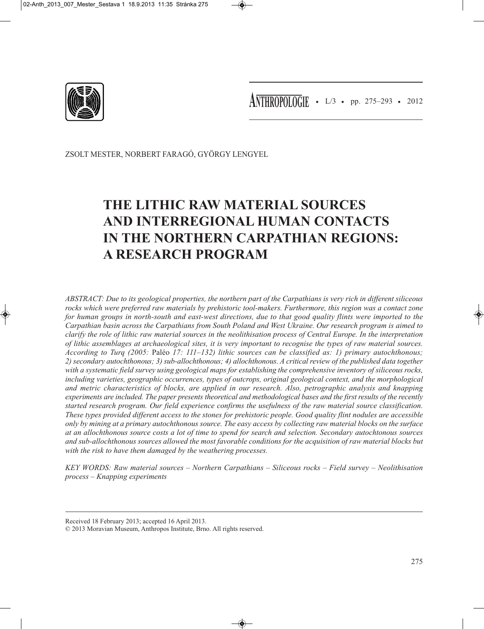

• L/3 • pp. 275–293 • 2012 **ANTHROPOLOGIE**

ZSOLT MESTER, NORBERT FARAGÓ, GYÖRGY LENGYEL

# **THE LITHIC RAW MATERIAL SOURCES AND INTERREGIONAL HUMAN CONTACTS IN THE NORTHERN CARPATHIAN REGIONS: A RESEARCH PROGRAM**

*ABSTRACT: Due to its geological properties, the northern part of the Carpathians is very rich in different siliceous rocks which were preferred raw materials by prehistoric tool-makers. Furthermore, this region was a contact zone for human groups in north-south and east-west directions, due to that good quality flints were imported to the Carpathian basin across the Carpathians from South Poland and West Ukraine. Our research program is aimed to clarify the role of lithic raw material sources in the neolithisation process of Central Europe. In the interpretation of lithic assemblages at archaeological sites, it is very important to recognise the types of raw material sources. According to Turq (2005:* Paléo *17: 111–132) lithic sources can be classified as: 1) primary autochthonous; 2) secondary autochthonous; 3) sub-allochthonous; 4) allochthonous. A critical review of the published data together with a systematic field survey using geological maps for establishing the comprehensive inventory of siliceous rocks, including varieties, geographic occurrences, types of outcrops, original geological context, and the morphological and metric characteristics of blocks, are applied in our research. Also, petrographic analysis and knapping experiments are included. The paper presents theoretical and methodological bases and the first results of the recently started research program. Our field experience confirms the usefulness of the raw material source classification. These types provided different access to the stones for prehistoric people. Good quality flint nodules are accessible only by mining at a primary autochthonous source. The easy access by collecting raw material blocks on the surface at an allochthonous source costs a lot of time to spend for search and selection. Secondary autochtonous sources and sub-allochthonous sources allowed the most favorable conditions for the acquisition of raw material blocks but with the risk to have them damaged by the weathering processes.*

*KEY WORDS: Raw material sources – Northern Carpathians – Siliceous rocks – Field survey – Neolithisation process – Knapping experiments*

Received 18 February 2013; accepted 16 April 2013.

<sup>© 2013</sup> Moravian Museum, Anthropos Institute, Brno. All rights reserved.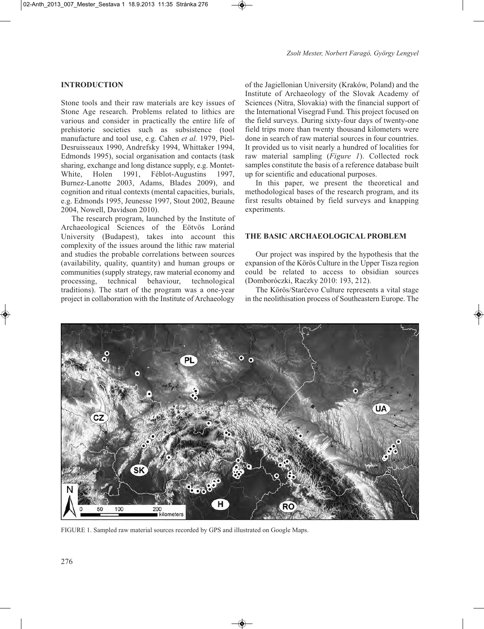## **INTRODUCTION**

Stone tools and their raw materials are key issues of Stone Age research. Problems related to lithics are various and consider in practically the entire life of prehistoric societies such as subsistence (tool manufacture and tool use, e.g. Cahen *et al.* 1979, Piel-Desruisseaux 1990, Andrefsky 1994, Whittaker 1994, Edmonds 1995), social organisation and contacts (task sharing, exchange and long distance supply, e.g. Montet-White, Holen 1991, Féblot-Augustins 1997, Burnez-Lanotte 2003, Adams, Blades 2009), and cognition and ritual contexts (mental capacities, burials, e.g. Edmonds 1995, Jeunesse 1997, Stout 2002, Beaune 2004, Nowell, Davidson 2010).

The research program, launched by the Institute of Archaeological Sciences of the Eötvös Loránd University (Budapest), takes into account this complexity of the issues around the lithic raw material and studies the probable correlations between sources (availability, quality, quantity) and human groups or communities (supply strategy, raw material economy and processing, technical behaviour, technological traditions). The start of the program was a one-year project in collaboration with the Institute of Archaeology

of the Jagiellonian University (Kraków, Poland) and the Institute of Archaeology of the Slovak Academy of Sciences (Nitra, Slovakia) with the financial support of the International Visegrad Fund. This project focused on the field surveys. During sixty-four days of twenty-one field trips more than twenty thousand kilometers were done in search of raw material sources in four countries. It provided us to visit nearly a hundred of localities for raw material sampling (*Figure 1*). Collected rock samples constitute the basis of a reference database built up for scientific and educational purposes.

In this paper, we present the theoretical and methodological bases of the research program, and its first results obtained by field surveys and knapping experiments.

## **THE BASIC ARCHAEOLOGICAL PROBLEM**

Our project was inspired by the hypothesis that the expansion of the Körös Culture in the Upper Tisza region could be related to access to obsidian sources (Domboróczki, Raczky 2010: 193, 212).

The Körös/Starčevo Culture represents a vital stage in the neolithisation process of Southeastern Europe. The



FIGURE 1. Sampled raw material sources recorded by GPS and illustrated on Google Maps.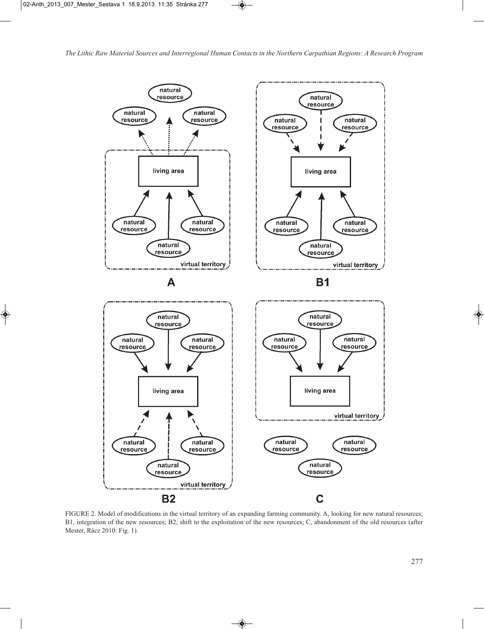

FIGURE 2. Model of modifications in the virtual territory of an expanding farming community. A, looking for new natural resources; B1, integration of the new resources; B2, shift to the exploitation of the new resources; C, abandonment of the old resources (after Mester, Rácz 2010: Fig. 1).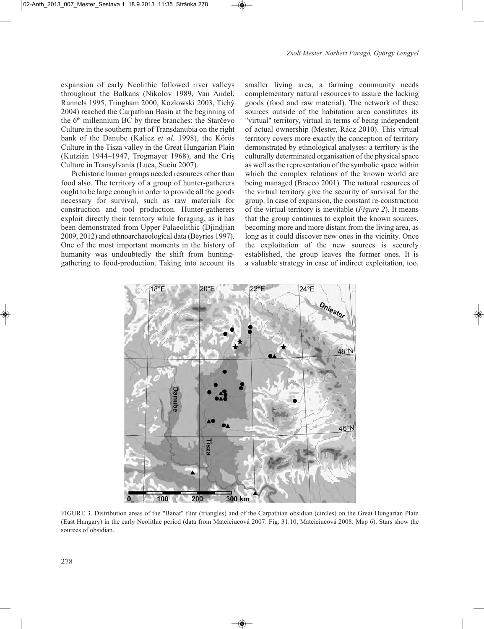expansion of early Neolithic followed river valleys throughout the Balkans (Nikolov 1989, Van Andel, Runnels 1995, Tringham 2000, Kozłowski 2003, Tichý 2004) reached the Carpathian Basin at the beginning of the 6th millennium BC by three branches: the Starčevo Culture in the southern part of Transdanubia on the right bank of the Danube (Kalicz *et al.* 1998), the Körös Culture in the Tisza valley in the Great Hungarian Plain (Kutzián 1944–1947, Trogmayer 1968), and the Criş Culture in Transylvania (Luca, Suciu 2007).

Prehistoric human groups needed resources other than food also. The territory of a group of hunter-gatherers ought to be large enough in order to provide all the goods necessary for survival, such as raw materials for construction and tool production. Hunter-gatherers exploit directly their territory while foraging, as it has been demonstrated from Upper Palaeolithic (Djindjian 2009, 2012) and ethnoarchaeological data (Beyries 1997). One of the most important moments in the history of humanity was undoubtedly the shift from huntinggathering to food-production. Taking into account its smaller living area, a farming community needs complementary natural resources to assure the lacking goods (food and raw material). The network of these sources outside of the habitation area constitutes its "virtual" territory, virtual in terms of being independent of actual ownership (Mester, Rácz 2010). This virtual territory covers more exactly the conception of territory demonstrated by ethnological analyses: a territory is the culturally determinated organisation of the physical space as well as the representation of the symbolic space within which the complex relations of the known world are being managed (Bracco 2001). The natural resources of the virtual territory give the security of survival for the group. In case of expansion, the constant re-construction of the virtual territory is inevitable (*Figure 2*). It means that the group continues to exploit the known sources, becoming more and more distant from the living area, as long as it could discover new ones in the vicinity. Once the exploitation of the new sources is securely established, the group leaves the former ones. It is a valuable strategy in case of indirect exploitation, too.



FIGURE 3. Distribution areas of the "Banat" flint (triangles) and of the Carpathian obsidian (circles) on the Great Hungarian Plain (East Hungary) in the early Neolithic period (data from Mateiciucová 2007: Fig. 31.10, Mateiciucová 2008: Map 6). Stars show the sources of obsidian.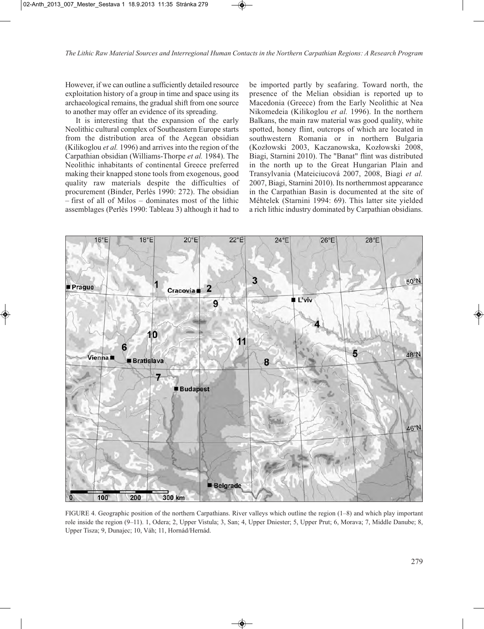However, if we can outline a sufficiently detailed resource exploitation history of a group in time and space using its archaeological remains, the gradual shift from one source to another may offer an evidence of its spreading.

It is interesting that the expansion of the early Neolithic cultural complex of Southeastern Europe starts from the distribution area of the Aegean obsidian (Kilikoglou *et al.* 1996) and arrives into the region of the Carpathian obsidian (Williams-Thorpe *et al.* 1984). The Neolithic inhabitants of continental Greece preferred making their knapped stone tools from exogenous, good quality raw materials despite the difficulties of procurement (Binder, Perlès 1990: 272). The obsidian – first of all of Milos – dominates most of the lithic assemblages (Perlès 1990: Tableau 3) although it had to

be imported partly by seafaring. Toward north, the presence of the Melian obsidian is reported up to Macedonia (Greece) from the Early Neolithic at Nea Nikomedeia (Kilikoglou *et al.* 1996). In the northern Balkans, the main raw material was good quality, white spotted, honey flint, outcrops of which are located in southwestern Romania or in northern Bulgaria (Kozłowski 2003, Kaczanowska, Kozłowski 2008, Biagi, Starnini 2010). The "Banat" flint was distributed in the north up to the Great Hungarian Plain and Transylvania (Mateiciucová 2007, 2008, Biagi *et al.* 2007, Biagi, Starnini 2010). Its northernmost appearance in the Carpathian Basin is documented at the site of Méhtelek (Starnini 1994: 69). This latter site yielded a rich lithic industry dominated by Carpathian obsidians.



FIGURE 4. Geographic position of the northern Carpathians. River valleys which outline the region (1–8) and which play important role inside the region (9–11). 1, Odera; 2, Upper Vistula; 3, San; 4, Upper Dniester; 5, Upper Prut; 6, Morava; 7, Middle Danube; 8, Upper Tisza; 9, Dunajec; 10, Váh; 11, Hornád/Hernád.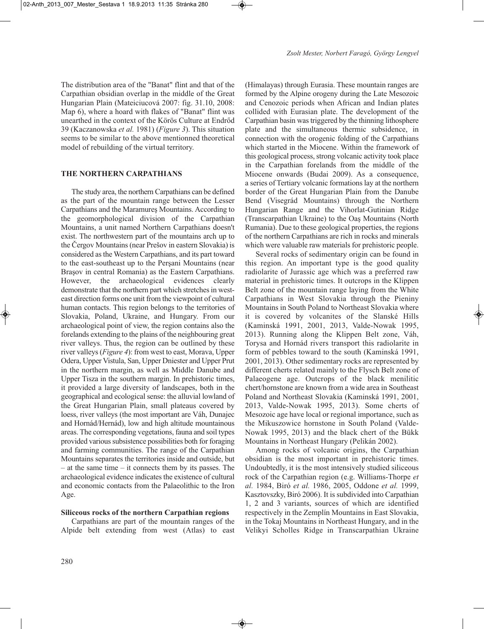The distribution area of the "Banat" flint and that of the Carpathian obsidian overlap in the middle of the Great Hungarian Plain (Mateiciucová 2007: fig. 31.10, 2008: Map 6), where a hoard with flakes of "Banat" flint was unearthed in the context of the Körös Culture at Endrőd 39 (Kaczanowska *et al.* 1981) (*Figure 3*). This situation seems to be similar to the above mentionned theoretical model of rebuilding of the virtual territory.

#### **THE NORTHERN CARPATHIANS**

The study area, the northern Carpathians can be defined as the part of the mountain range between the Lesser Carpathians and the Maramureş Mountains. According to the geomorphological division of the Carpathian Mountains, a unit named Northern Carpathians doesn't exist. The northwestern part of the mountains arch up to the Čergov Mountains (near Prešov in eastern Slovakia) is considered as the Western Carpathians, and its part toward to the east-southeast up to the Perşani Mountains (near Braşov in central Romania) as the Eastern Carpathians. However, the archaeological evidences clearly demonstrate that the northern part which stretches in westeast direction forms one unit from the viewpoint of cultural human contacts. This region belongs to the territories of Slovakia, Poland, Ukraine, and Hungary. From our archaeological point of view, the region contains also the forelands extending to the plains of the neighbouring great river valleys. Thus, the region can be outlined by these river valleys (*Figure 4*): from west to east, Morava, Upper Odera, Upper Vistula, San, Upper Dniester and Upper Prut in the northern margin, as well as Middle Danube and Upper Tisza in the southern margin. In prehistoric times, it provided a large diversity of landscapes, both in the geographical and ecological sense: the alluvial lowland of the Great Hungarian Plain, small plateaus covered by loess, river valleys (the most important are Váh, Dunajec and Hornád/Hernád), low and high altitude mountainous areas. The corresponding vegetations, fauna and soil types provided various subsistence possibilities both for foraging and farming communities. The range of the Carpathian Mountains separates the territories inside and outside, but – at the same time – it connects them by its passes. The archaeological evidence indicates the existence of cultural and economic contacts from the Palaeolithic to the Iron Age.

#### **Siliceous rocks of the northern Carpathian regions**

Carpathians are part of the mountain ranges of the Alpide belt extending from west (Atlas) to east (Himalayas) through Eurasia. These mountain ranges are formed by the Alpine orogeny during the Late Mesozoic and Cenozoic periods when African and Indian plates collided with Eurasian plate. The development of the Carpathian basin was triggered by the thinning lithosphere plate and the simultaneous thermic subsidence, in connection with the orogenic folding of the Carpathians which started in the Miocene. Within the framework of this geological process, strong volcanic activity took place in the Carpathian forelands from the middle of the Miocene onwards (Budai 2009). As a consequence, a series of Tertiary volcanic formations lay at the northern border of the Great Hungarian Plain from the Danube Bend (Visegrád Mountains) through the Northern Hungarian Range and the Vihorlat-Gutinian Ridge (Transcarpathian Ukraine) to the Oaş Mountains (North Rumania). Due to these geological properties, the regions of the northern Carpathians are rich in rocks and minerals which were valuable raw materials for prehistoric people.

Several rocks of sedimentary origin can be found in this region. An important type is the good quality radiolarite of Jurassic age which was a preferred raw material in prehistoric times. It outcrops in the Klippen Belt zone of the mountain range laying from the White Carpathians in West Slovakia through the Pieniny Mountains in South Poland to Northeast Slovakia where it is covered by volcanites of the Slanské Hills (Kaminská 1991, 2001, 2013, Valde-Nowak 1995, 2013). Running along the Klippen Belt zone, Váh, Torysa and Hornád rivers transport this radiolarite in form of pebbles toward to the south (Kaminská 1991, 2001, 2013). Other sedimentary rocks are represented by different cherts related mainly to the Flysch Belt zone of Palaeogene age. Outcrops of the black menilitic chert/hornstone are known from a wide area in Southeast Poland and Northeast Slovakia (Kaminská 1991, 2001, 2013, Valde-Nowak 1995, 2013). Some cherts of Mesozoic age have local or regional importance, such as the Mikuszowice hornstone in South Poland (Valde-Nowak 1995, 2013) and the black chert of the Bükk Mountains in Northeast Hungary (Pelikán 2002).

Among rocks of volcanic origins, the Carpathian obsidian is the most important in prehistoric times. Undoubtedly, it is the most intensively studied siliceous rock of the Carpathian region (e.g. Williams-Thorpe *et al.* 1984, Biró *et al.* 1986, 2005, Oddone *et al.* 1999, Kasztovszky, Biró 2006). It is subdivided into Carpathian 1, 2 and 3 variants, sources of which are identified respectively in the Zemplín Mountains in East Slovakia, in the Tokaj Mountains in Northeast Hungary, and in the Velikyi Scholles Ridge in Transcarpathian Ukraine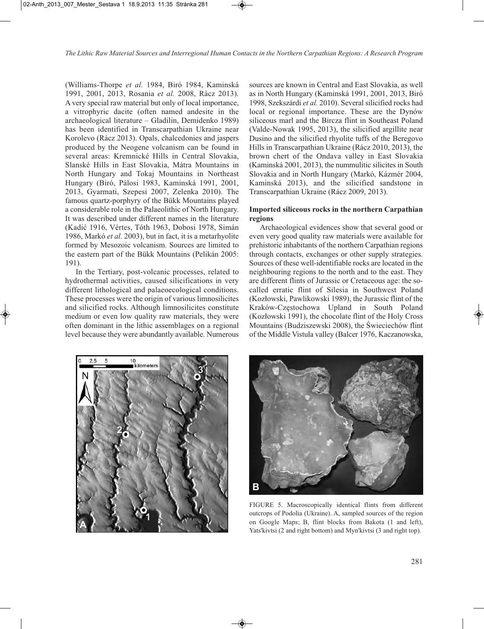(Williams-Thorpe *et al.* 1984, Biró 1984, Kaminská 1991, 2001, 2013, Rosania *et al.* 2008, Rácz 2013). A very special raw material but only of local importance, a vitrophyric dacite (often named andesite in the archaeological literature – Gladilin, Demidenko 1989) has been identified in Transcarpathian Ukraine near Korolevo (Rácz 2013). Opals, chalcedonies and jaspers produced by the Neogene volcanism can be found in several areas: Kremnické Hills in Central Slovakia, Slanské Hills in East Slovakia, Mátra Mountains in North Hungary and Tokaj Mountains in Northeast Hungary (Biró, Pálosi 1983, Kaminská 1991, 2001, 2013, Gyarmati, Szepesi 2007, Zelenka 2010). The famous quartz-porphyry of the Bükk Mountains played a considerable role in the Palaeolithic of North Hungary. It was described under different names in the literature (Kadić 1916, Vértes, Tóth 1963, Dobosi 1978, Simán 1986, Markó *et al.* 2003), but in fact, it is a metarhyolite formed by Mesozoic volcanism. Sources are limited to the eastern part of the Bükk Mountains (Pelikán 2005: 191).

In the Tertiary, post-volcanic processes, related to hydrothermal activities, caused silicifications in very different lithological and palaeoecological conditions. These processes were the origin of various limnosilicites and silicified rocks. Although limnosilicites constitute medium or even low quality raw materials, they were often dominant in the lithic assemblages on a regional level because they were abundantly available. Numerous sources are known in Central and East Slovakia, as well as in North Hungary (Kaminská 1991, 2001, 2013, Biró 1998, Szekszárdi *et al.* 2010). Several silicified rocks had local or regional importance. These are the Dynów siliceous marl and the Bircza flint in Southeast Poland (Valde-Nowak 1995, 2013), the silicified argillite near Dusino and the silicified rhyolite tuffs of the Beregovo Hills in Transcarpathian Ukraine (Rácz 2010, 2013), the brown chert of the Ondava valley in East Slovakia (Kaminská 2001, 2013), the nummulitic silicites in South Slovakia and in North Hungary (Markó, Kázmér 2004, Kaminská 2013), and the silicified sandstone in Transcarpathian Ukraine (Rácz 2009, 2013).

## **Imported siliceous rocks in the northern Carpathian regions**

Archaeological evidences show that several good or even very good quality raw materials were available for prehistoric inhabitants of the northern Carpathian regions through contacts, exchanges or other supply strategies. Sources of these well-identifiable rocks are located in the neighbouring regions to the north and to the east. They are different flints of Jurassic or Cretaceous age: the socalled erratic flint of Silesia in Southwest Poland (Kozłowski, Pawlikowski 1989), the Jurassic flint of the Kraków-Częstochowa Upland in South Poland (Kozłowski 1991), the chocolate flint of the Holy Cross Mountains (Budziszewski 2008), the Świeciechów flint of the Middle Vistula valley (Balcer 1976, Kaczanowska,





FIGURE 5. Macroscopically identical flints from different outcrops of Podolia (Ukraine). A, sampled sources of the region on Google Maps; B, flint blocks from Bakota (1 and left), Yats'kivtsi (2 and right bottom) and Myn'kivtsi (3 and right top). **<sup>A</sup>**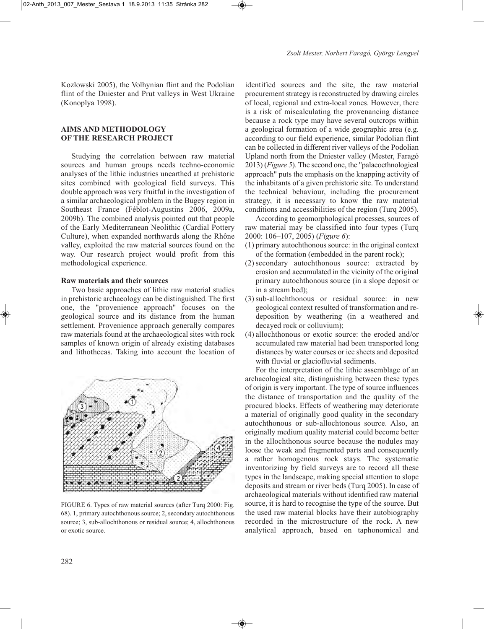Kozłowski 2005), the Volhynian flint and the Podolian flint of the Dniester and Prut valleys in West Ukraine (Konoplya 1998).

## **AIMS AND METHODOLOGY OF THE RESEARCH PROJECT**

Studying the correlation between raw material sources and human groups needs techno-economic analyses of the lithic industries unearthed at prehistoric sites combined with geological field surveys. This double approach was very fruitful in the investigation of a similar archaeological problem in the Bugey region in Southeast France (Féblot-Augustins 2006, 2009a, 2009b). The combined analysis pointed out that people of the Early Mediterranean Neolithic (Cardial Pottery Culture), when expanded northwards along the Rhône valley, exploited the raw material sources found on the way. Our research project would profit from this methodological experience.

#### **Raw materials and their sources**

Two basic approaches of lithic raw material studies in prehistoric archaeology can be distinguished. The first one, the "provenience approach" focuses on the geological source and its distance from the human settlement. Provenience approach generally compares raw materials found at the archaeological sites with rock samples of known origin of already existing databases and lithothecas. Taking into account the location of



FIGURE 6. Types of raw material sources (after Turq 2000: Fig. 68). 1, primary autochthonous source; 2, secondary autochthonous source; 3, sub-allochthonous or residual source; 4, allochthonous or exotic source.

identified sources and the site, the raw material procurement strategy is reconstructed by drawing circles of local, regional and extra-local zones. However, there is a risk of miscalculating the provenancing distance because a rock type may have several outcrops within a geological formation of a wide geographic area (e.g. according to our field experience, similar Podolian flint can be collected in different river valleys of the Podolian Upland north from the Dniester valley (Mester, Faragó 2013) (*Figure 5*). The second one, the "palaeoethnological approach" puts the emphasis on the knapping activity of the inhabitants of a given prehistoric site. To understand the technical behaviour, including the procurement strategy, it is necessary to know the raw material conditions and accessibilities of the region (Turq 2005).

According to geomorphological processes, sources of raw material may be classified into four types (Turq 2000: 106–107, 2005) (*Figure 6*):

- (1) primary autochthonous source: in the original context of the formation (embedded in the parent rock);
- (2) secondary autochthonous source: extracted by erosion and accumulated in the vicinity of the original primary autochthonous source (in a slope deposit or in a stream bed);
- (3) sub-allochthonous or residual source: in new geological context resulted of transformation and redeposition by weathering (in a weathered and decayed rock or colluvium);
- (4) allochthonous or exotic source: the eroded and/or accumulated raw material had been transported long distances by water courses or ice sheets and deposited with fluvial or glaciofluvial sediments.

For the interpretation of the lithic assemblage of an archaeological site, distinguishing between these types of origin is very important. The type of source influences the distance of transportation and the quality of the procured blocks. Effects of weathering may deteriorate a material of originally good quality in the secondary autochthonous or sub-allochtonous source. Also, an originally medium quality material could become better in the allochthonous source because the nodules may loose the weak and fragmented parts and consequently a rather homogenous rock stays. The systematic inventorizing by field surveys are to record all these types in the landscape, making special attention to slope deposits and stream or river beds (Turq 2005). In case of archaeological materials without identified raw material source, it is hard to recognise the type of the source. But the used raw material blocks have their autobiography recorded in the microstructure of the rock. A new analytical approach, based on taphonomical and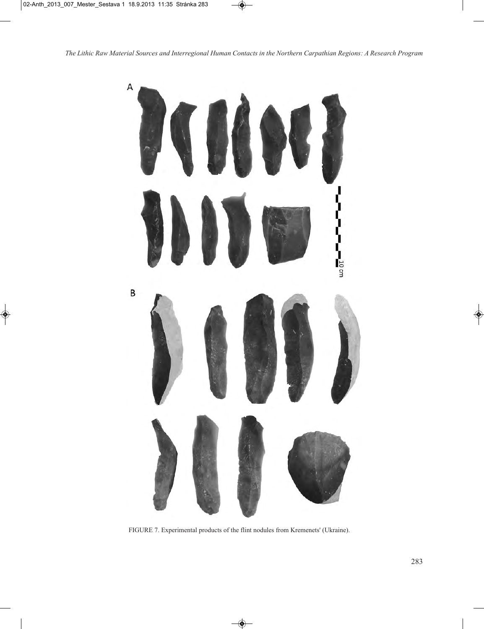

FIGURE 7. Experimental products of the flint nodules from Kremenets' (Ukraine).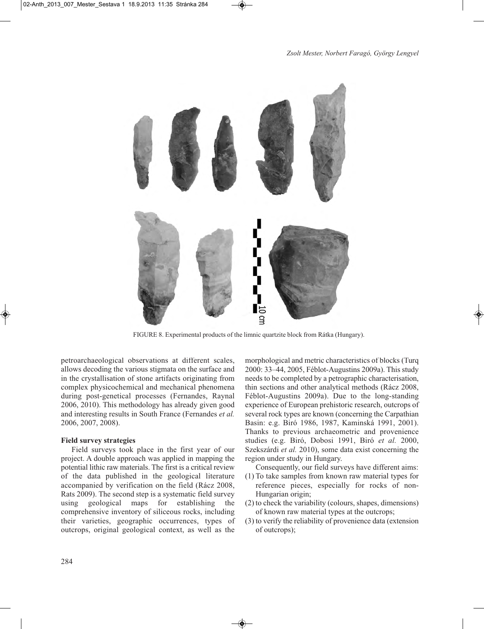

FIGURE 8. Experimental products of the limnic quartzite block from Rátka (Hungary).

petroarchaeological observations at different scales, allows decoding the various stigmata on the surface and in the crystallisation of stone artifacts originating from complex physicochemical and mechanical phenomena during post-genetical processes (Fernandes, Raynal 2006, 2010). This methodology has already given good and interesting results in South France (Fernandes *et al.* 2006, 2007, 2008).

## **Field survey strategies**

Field surveys took place in the first year of our project. A double approach was applied in mapping the potential lithic raw materials. The first is a critical review of the data published in the geological literature accompanied by verification on the field (Rácz 2008, Rats 2009). The second step is a systematic field survey using geological maps for establishing the comprehensive inventory of siliceous rocks, including their varieties, geographic occurrences, types of outcrops, original geological context, as well as the

morphological and metric characteristics of blocks (Turq 2000: 33–44, 2005, Féblot-Augustins 2009a). This study needs to be completed by a petrographic characterisation, thin sections and other analytical methods (Rácz 2008, Féblot-Augustins 2009a). Due to the long-standing experience of European prehistoric research, outcrops of several rock types are known (concerning the Carpathian Basin: e.g. Biró 1986, 1987, Kaminská 1991, 2001). Thanks to previous archaeometric and provenience studies (e.g. Biró, Dobosi 1991, Biró *et al.* 2000, Szekszárdi *et al.* 2010), some data exist concerning the region under study in Hungary.

Consequently, our field surveys have different aims:

- (1) To take samples from known raw material types for reference pieces, especially for rocks of non-Hungarian origin;
- (2) to check the variability (colours, shapes, dimensions) of known raw material types at the outcrops;
- (3) to verify the reliability of provenience data (extension of outcrops);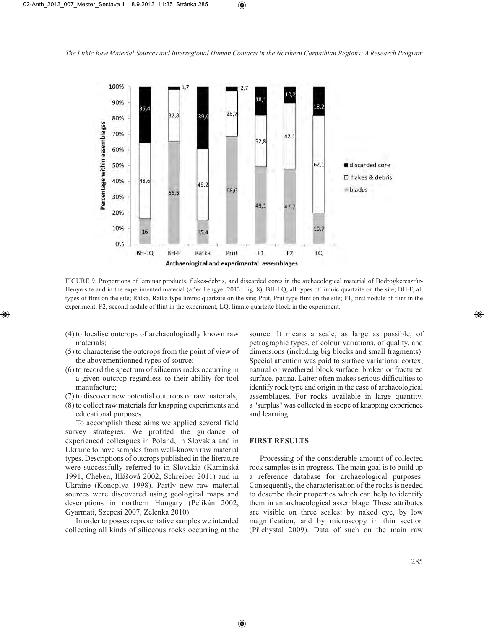

FIGURE 9. Proportions of laminar products, flakes-debris, and discarded cores in the archaeological material of Bodrogkeresztúr-Henye site and in the experimented material (after Lengyel 2013: Fig. 8). BH-LQ, all types of limnic quartzite on the site; BH-F, all types of flint on the site; Rátka, Rátka type limnic quartzite on the site; Prut, Prut type flint on the site; F1, first nodule of flint in the experiment; F2, second nodule of flint in the experiment; LQ, limnic quartzite block in the experiment.

- (4) to localise outcrops of archaeologically known raw materials;
- (5) to characterise the outcrops from the point of view of the abovementionned types of source;
- (6) to record the spectrum of siliceous rocks occurring in a given outcrop regardless to their ability for tool manufacture;
- (7) to discover new potential outcrops or raw materials;
- (8) to collect raw materials for knapping experiments and educational purposes.

To accomplish these aims we applied several field survey strategies. We profited the guidance of experienced colleagues in Poland, in Slovakia and in Ukraine to have samples from well-known raw material types. Descriptions of outcrops published in the literature were successfully referred to in Slovakia (Kaminská 1991, Cheben, Illášová 2002, Schreiber 2011) and in Ukraine (Konoplya 1998). Partly new raw material sources were discovered using geological maps and descriptions in northern Hungary (Pelikán 2002, Gyarmati, Szepesi 2007, Zelenka 2010).

In order to posses representative samples we intended collecting all kinds of siliceous rocks occurring at the source. It means a scale, as large as possible, of petrographic types, of colour variations, of quality, and dimensions (including big blocks and small fragments). Special attention was paid to surface variations: cortex, natural or weathered block surface, broken or fractured surface, patina. Latter often makes serious difficulties to identify rock type and origin in the case of archaeological assemblages. For rocks available in large quantity, a "surplus" was collected in scope of knapping experience and learning.

## **FIRST RESULTS**

Processing of the considerable amount of collected rock samples is in progress. The main goal is to build up a reference database for archaeological purposes. Consequently, the characterisation of the rocks is needed to describe their properties which can help to identify them in an archaeological assemblage. These attributes are visible on three scales: by naked eye, by low magnification, and by microscopy in thin section (Přichystal 2009). Data of such on the main raw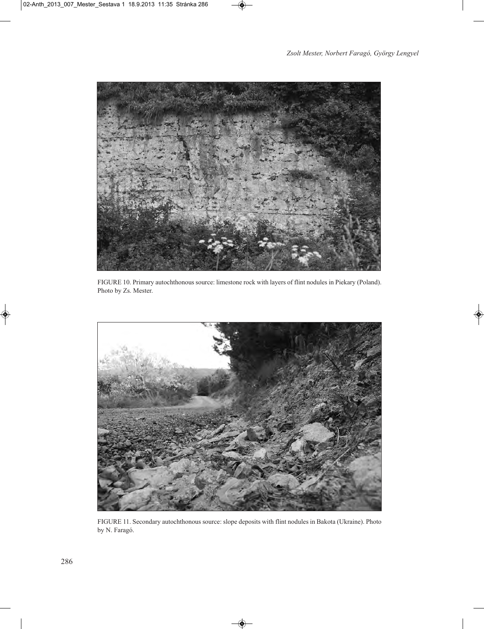

FIGURE 10. Primary autochthonous source: limestone rock with layers of flint nodules in Piekary (Poland). Photo by Zs. Mester.



FIGURE 11. Secondary autochthonous source: slope deposits with flint nodules in Bakota (Ukraine). Photo by N. Faragó.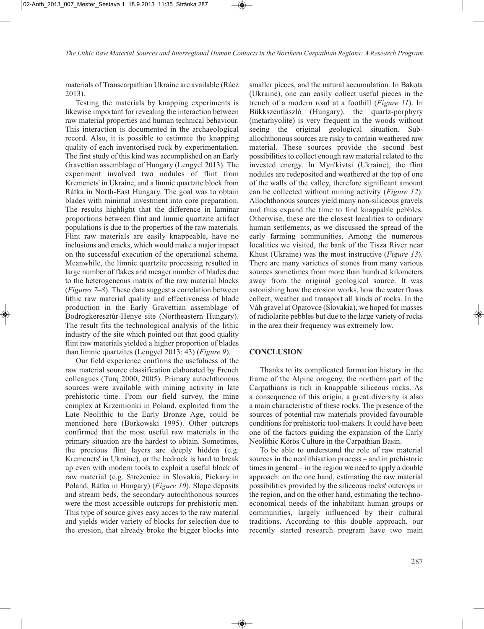materials of Transcarpathian Ukraine are available (Rácz 2013).

Testing the materials by knapping experiments is likewise important for revealing the interaction between raw material properties and human technical behaviour. This interaction is documented in the archaeological record. Also, it is possible to estimate the knapping quality of each inventorised rock by experimentation. The first study of this kind was accomplished on an Early Gravettian assemblage of Hungary (Lengyel 2013). The experiment involved two nodules of flint from Kremenets' in Ukraine, and a limnic quartzite block from Rátka in North-East Hungary. The goal was to obtain blades with minimal investment into core preparation. The results highlight that the difference in laminar proportions between flint and limnic quartzite artifact populations is due to the properties of the raw materials. Flint raw materials are easily knappeable, have no inclusions and cracks, which would make a major impact on the successful execution of the operational schema. Meanwhile, the limnic quartzite processing resulted in large number of flakes and meager number of blades due to the heterogeneous matrix of the raw material blocks (*Figures 7–8*). These data suggest a correlation between lithic raw material quality and effectiveness of blade production in the Early Gravettian assemblage of Bodrogkeresztúr-Henye site (Northeastern Hungary). The result fits the technological analysis of the lithic industry of the site which pointed out that good quality flint raw materials yielded a higher proportion of blades than limnic quartzites (Lengyel 2013: 43) (*Figure 9*).

Our field experience confirms the usefulness of the raw material source classification elaborated by French colleagues (Turq 2000, 2005). Primary autochthonous sources were available with mining activity in late prehistoric time. From our field survey, the mine complex at Krzemionki in Poland, exploited from the Late Neolithic to the Early Bronze Age, could be mentioned here (Borkowski 1995). Other outcrops confirmed that the most useful raw materials in the primary situation are the hardest to obtain. Sometimes, the precious flint layers are deeply hidden (e.g. Kremenets' in Ukraine), or the bedrock is hard to break up even with modern tools to exploit a useful block of raw material (e.g. Streženice in Slovakia, Piekary in Poland, Rátka in Hungary) (*Figure 10*). Slope deposits and stream beds, the secondary autochthonous sources were the most accessible outcrops for prehistoric men. This type of source gives easy acces to the raw material and yields wider variety of blocks for selection due to the erosion, that already broke the bigger blocks into

smaller pieces, and the natural accumulation. In Bakota (Ukraine), one can easily collect useful pieces in the trench of a modern road at a foothill (*Figure 11*). In Bükkszentlászló (Hungary), the quartz-porphyry (metarhyolite) is very frequent in the woods without seeing the original geological situation. Suballochthonous sources are risky to contain weathered raw material. These sources provide the second best possibilities to collect enough raw material related to the invested energy. In Myn'kivtsi (Ukraine), the flint nodules are redeposited and weathered at the top of one of the walls of the valley, therefore significant amount can be collected without mining activity (*Figure 12*). Allochthonous sources yield many non-siliceous gravels and thus expand the time to find knappable pebbles. Otherwise, these are the closest localities to ordinary human settlements, as we discussed the spread of the early farming communities. Among the numerous localities we visited, the bank of the Tisza River near Khust (Ukraine) was the most instructive (*Figure 13*). There are many varieties of stones from many various sources sometimes from more than hundred kilometers away from the original geological source. It was astonishing how the erosion works, how the water flows collect, weather and transport all kinds of rocks. In the Váh gravel at Opatovce (Slovakia), we hoped for masses of radiolarite pebbles but due to the large variety of rocks in the area their frequency was extremely low.

## **CONCLUSION**

Thanks to its complicated formation history in the frame of the Alpine orogeny, the northern part of the Carpathians is rich in knappable siliceous rocks. As a consequence of this origin, a great diversity is also a main characteristic of these rocks. The presence of the sources of potential raw materials provided favourable conditions for prehistoric tool-makers. It could have been one of the factors guiding the expansion of the Early Neolithic Körös Culture in the Carpathian Basin.

To be able to understand the role of raw material sources in the neolithisation process – and in prehistoric times in general – in the region we need to apply a double approach: on the one hand, estimating the raw material possibilities provided by the siliceous rocks' outcrops in the region, and on the other hand, estimating the technoeconomical needs of the inhabitant human groups or communities, largely influenced by their cultural traditions. According to this double approach, our recently started research program have two main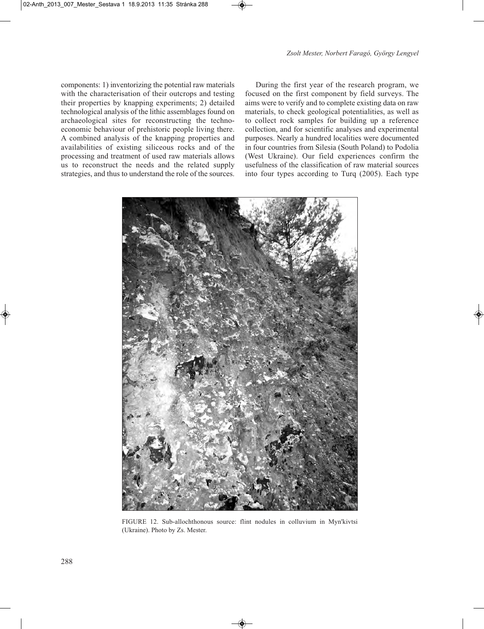components: 1) inventorizing the potential raw materials with the characterisation of their outcrops and testing their properties by knapping experiments; 2) detailed technological analysis of the lithic assemblages found on archaeological sites for reconstructing the technoeconomic behaviour of prehistoric people living there. A combined analysis of the knapping properties and availabilities of existing siliceous rocks and of the processing and treatment of used raw materials allows us to reconstruct the needs and the related supply strategies, and thus to understand the role of the sources.

During the first year of the research program, we focused on the first component by field surveys. The aims were to verify and to complete existing data on raw materials, to check geological potentialities, as well as to collect rock samples for building up a reference collection, and for scientific analyses and experimental purposes. Nearly a hundred localities were documented in four countries from Silesia (South Poland) to Podolia (West Ukraine). Our field experiences confirm the usefulness of the classification of raw material sources into four types according to Turq (2005). Each type



FIGURE 12. Sub-allochthonous source: flint nodules in colluvium in Myn'kivtsi (Ukraine). Photo by Zs. Mester.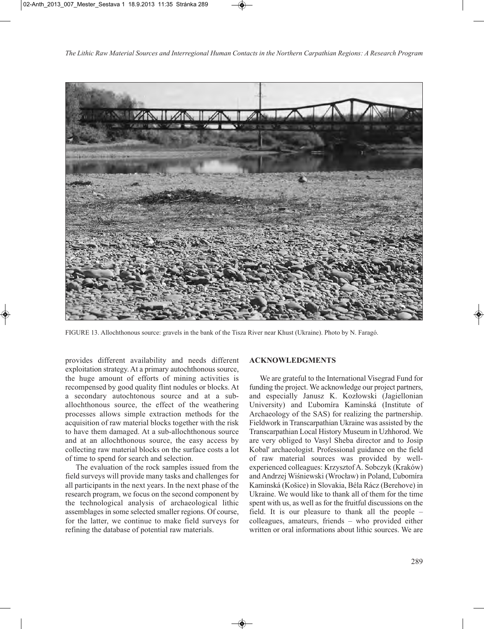

FIGURE 13. Allochthonous source: gravels in the bank of the Tisza River near Khust (Ukraine). Photo by N. Faragó.

provides different availability and needs different exploitation strategy. At a primary autochthonous source, the huge amount of efforts of mining activities is recompensed by good quality flint nodules or blocks. At a secondary autochtonous source and at a suballochthonous source, the effect of the weathering processes allows simple extraction methods for the acquisition of raw material blocks together with the risk to have them damaged. At a sub-allochthonous source and at an allochthonous source, the easy access by collecting raw material blocks on the surface costs a lot of time to spend for search and selection.

The evaluation of the rock samples issued from the field surveys will provide many tasks and challenges for all participants in the next years. In the next phase of the research program, we focus on the second component by the technological analysis of archaeological lithic assemblages in some selected smaller regions. Of course, for the latter, we continue to make field surveys for refining the database of potential raw materials.

#### **ACKNOWLEDGMENTS**

We are grateful to the International Visegrad Fund for funding the project. We acknowledge our project partners, and especially Janusz K. Kozłowski (Jagiellonian University) and Ľubomíra Kaminská (Institute of Archaeology of the SAS) for realizing the partnership. Fieldwork in Transcarpathian Ukraine was assisted by the Transcarpathian Local History Museum in Uzhhorod. We are very obliged to Vasyl Sheba director and to Josip Kobal' archaeologist. Professional guidance on the field of raw material sources was provided by wellexperienced colleagues: Krzysztof A. Sobczyk (Kraków) and Andrzej Wiśniewski (Wrocław) in Poland, Ľubomíra Kaminská (Košice) in Slovakia, Béla Rácz (Berehove) in Ukraine. We would like to thank all of them for the time spent with us, as well as for the fruitful discussions on the field. It is our pleasure to thank all the people – colleagues, amateurs, friends – who provided either written or oral informations about lithic sources. We are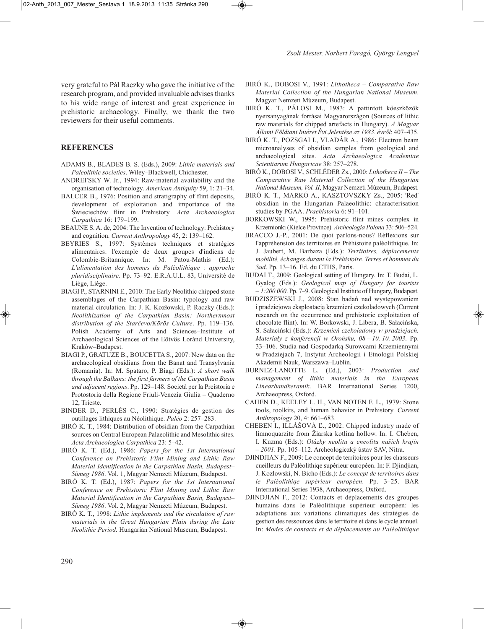very grateful to Pál Raczky who gave the initiative of the research program, and provided invaluable advises thanks to his wide range of interest and great experience in prehistoric archaeology. Finally, we thank the two reviewers for their useful comments.

## **REFERENCES**

- ADAMS B., BLADES B. S. (Eds.), 2009: *Lithic materials and Paleolithic societies*. Wiley–Blackwell, Chichester.
- ANDREFSKY W. Jr., 1994: Raw-material availability and the organisation of technology. *American Antiquity* 59, 1: 21–34.
- BALCER B., 1976: Position and stratigraphy of flint deposits, development of exploitation and importance of the Świeciechów flint in Prehistory. *Acta Archaeologica Carpathica* 16: 179–199.
- BEAUNE S. A. de, 2004: The Invention of technology: Prehistory and cognition. *Current Anthropology* 45, 2: 139–162.
- BEYRIES S., 1997: Systèmes techniques et stratégies alimentaires: l'exemple de deux groupes d'indiens de Colombie-Britannique. In: M. Patou-Mathis (Ed.): *L'alimentation des hommes du Paléolithique : approche pluridisciplinaire*. Pp. 73–92. E.R.A.U.L. 83, Université de Liège, Liège.
- BIAGI P., STARNINI E., 2010: The Early Neolithic chipped stone assemblages of the Carpathian Basin: typology and raw material circulation. In: J. K. Kozłowski, P. Raczky (Eds.): *Neolithization of the Carpathian Basin: Northernmost distribution of the Starčevo/Körös Culture*. Pp. 119–136. Polish Academy of Arts and Sciences–Institute of Archaeological Sciences of the Eötvös Loránd University, Kraków–Budapest.
- BIAGI P., GRATUZE B., BOUCETTA S., 2007: New data on the archaeological obsidians from the Banat and Transylvania (Romania). In: M. Spataro, P. Biagi (Eds.): *A short walk through the Balkans: the first farmers of the Carpathian Basin and adjacent regions*. Pp. 129–148. Società per la Preistoria e Protostoria della Regione Friuli-Venezia Giulia – Quaderno 12, Trieste.
- BINDER D., PERLÈS C., 1990: Stratégies de gestion des outillages lithiques au Néolithique. *Paléo* 2: 257–283.
- BIRÓ K. T., 1984: Distribution of obsidian from the Carpathian sources on Central European Palaeolithic and Mesolithic sites. *Acta Archaeologica Carpathica* 23: 5–42.
- BIRÓ K. T. (Ed.), 1986: *Papers for the 1st International Conference on Prehistoric Flint Mining and Lithic Raw Material Identification in the Carpathian Basin, Budapest– Sümeg 1986*. Vol. 1, Magyar Nemzeti Múzeum, Budapest.
- BIRÓ K. T. (Ed.), 1987: *Papers for the 1st International Conference on Prehistoric Flint Mining and Lithic Raw Material Identification in the Carpathian Basin, Budapest– Sümeg 1986*. Vol. 2, Magyar Nemzeti Múzeum, Budapest.
- BIRÓ K. T., 1998: *Lithic implements and the circulation of raw materials in the Great Hungarian Plain during the Late Neolithic Period.* Hungarian National Museum, Budapest.
- BIRÓ K., DOBOSI V., 1991: *Lithotheca Comparative Raw Material Collection of the Hungarian National Museum*. Magyar Nemzeti Múzeum, Budapest.
- BIRÓ K. T., PÁLOSI M., 1983: A pattintott kőeszközök nyersanyagának forrásai Magyarországon (Sources of lithic raw materials for chipped artefacts in Hungary). *A Magyar Állami Földtani Intézet Évi Jelentése az 1983. évről*: 407–435.
- BIRÓ K. T., POZSGAI I., VLADÁR A., 1986: Electron beam microanalyses of obsidian samples from geological and archaeological sites. *Acta Archaeologica Academiae Scientiarum Hungaricae* 38: 257–278.
- BIRÓ K., DOBOSI V., SCHLÉDER Zs., 2000: *Lithotheca II The Comparative Raw Material Collection of the Hungarian National Museum, Vol. II*, Magyar Nemzeti Múzeum, Budapest.
- BIRÓ K. T., MARKÓ A., KASZTOVSZKY Zs., 2005: 'Red' obsidian in the Hungarian Palaeolithic: characterisation studies by PGAA. *Praehistoria* 6: 91–101.
- BORKOWSKI W., 1995: Prehistoric flint mines complex in Krzemionki (Kielce Province). *Archeologia Polona* 33: 506–524.
- BRACCO J.-P., 2001: De quoi parlons-nous? Réflexions sur l'appréhension des territoires en Préhistoire paléolithique. In: J. Jaubert, M. Barbaza (Eds.): *Territoires, déplacements mobilité, échanges durant la Préhistoire. Terres et hommes du Sud*. Pp. 13–16. Ed. du CTHS, Paris.
- BUDAI T., 2009: Geological setting of Hungary. In: T. Budai, L. Gyalog (Eds.): *Geological map of Hungary for tourists – 1:200 000*. Pp. 7–9. Geological Institute of Hungary, Budapest.
- BUDZISZEWSKI J., 2008: Stan badań nad występowaniem i pradziejową eksploatacją krzemieni czekoladowych (Current research on the occurrence and prehistoric exploitation of chocolate flint). In: W. Borkowski, J. Libera, B. Sałacińska, S. Sałaciński (Eds.): *Krzemień czekoladowy w pradziejach. Materiały z konferencji w Orońsku, 08 – 10. 10. 2003*. Pp. 33–106. Studia nad Gospodarką Surowcami Krzemiennymi w Pradziejach 7, Instytut Archeologii i Etnologii Polskiej Akademii Nauk, Warszawa–Lublin.
- BURNEZ-LANOTTE L. (Ed.), 2003: *Production and management of lithic materials in the European Linearbandkeramik*. BAR International Series 1200, Archaeopress, Oxford.
- CAHEN D., KEELEY L. H., VAN NOTEN F. L., 1979: Stone tools, toolkits, and human behavior in Prehistory. *Current Anthropology* 20, 4: 661–683.
- CHEBEN I., ILLÁŠOVÁ Ľ., 2002: Chipped industry made of limnoquarzite from Žiarska kotlina hollow. In: I. Cheben, I. Kuzma (Eds.): *Otázky neolitu a eneolitu našich krajín – 2001*. Pp. 105–112. Archeologiczký ústav SAV, Nitra.
- DJINDJIAN F., 2009: Le concept de territoires pour les chasseurs cueilleurs du Paléolithiqe supérieur européen. In: F. Djindjian, J. Kozlowski, N. Bicho (Eds.): *Le concept de territoires dans le Paléolithiqe supérieur européen*. Pp. 3–25. BAR International Series 1938, Archaeopress, Oxford.
- DJINDJIAN F., 2012: Contacts et déplacements des groupes humains dans le Paléolithique supérieur européen: les adaptations aux variations climatiques des stratégies de gestion des ressources dans le territoire et dans le cycle annuel. In: *Modes de contacts et de déplacements au Paléolithique*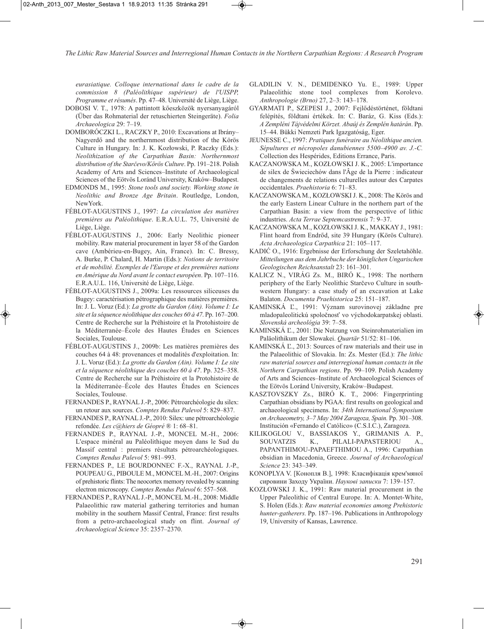*eurasiatique. Colloque international dans le cadre de la commission 8 (Paléolithique supérieur) de l'UISPP, Programme et résumés*. Pp. 47–48. Université de Liège, Liège.

- DOBOSI V. T., 1978: A pattintott kőeszközök nyersanyagáról (Über das Rohmaterial der retuschierten Steingeräte). *Folia Archaeologica* 29: 7–19.
- DOMBORÓCZKI L., RACZKY P., 2010: Excavations at Ibrány– Nagyerdő and the northernmost distribution of the Körös Culture in Hungary. In: J. K. Kozłowski, P. Raczky (Eds.): *Neolithization of the Carpathian Basin: Northernmost distribution of the Starčevo/Körös Culture*. Pp. 191–218. Polish Academy of Arts and Sciences–Institute of Archaeological Sciences of the Eötvös Loránd University, Kraków–Budapest.
- EDMONDS M., 1995: *Stone tools and society. Working stone in Neolithic and Bronze Age Britain*. Routledge, London, NewYork.
- FÉBLOT-AUGUSTINS J., 1997: *La circulation des matières premières au Paléolithique*. E.R.A.U.L. 75, Université de Liège, Liège.
- FÉBLOT-AUGUSTINS J., 2006: Early Neolithic pioneer mobility. Raw material procurement in layer 58 of the Gardon cave (Ambérieu-en-Bugey, Ain, France). In: C. Bressy, A. Burke, P. Chalard, H. Martin (Eds.): *Notions de territoire et de mobilité. Exemples de l'Europe et des premières nations en Amérique du Nord avant le contact européen*. Pp. 107–116. E.R.A.U.L. 116, Université de Liège, Liège.
- FÉBLOT-AUGUSTINS J., 2009a: Les ressources siliceuses du Bugey: caractérisation pétrographique des matières premières. In: J. L. Voruz (Ed.): *La grotte du Gardon (Ain). Volume I: Le site et la séquence néolithique des couches 60 à 47*. Pp. 167–200. Centre de Recherche sur la Préhistoire et la Protohistoire de la Méditerranée–École des Hautes Études en Sciences Sociales, Toulouse.
- FÉBLOT-AUGUSTINS J., 2009b: Les matières premières des couches 64 à 48: provenances et modalités d'exploitation. In: J. L. Voruz (Ed.): *La grotte du Gardon (Ain). Volume I: Le site et la séquence néolithique des couches 60 à 47*. Pp. 325–358. Centre de Recherche sur la Préhistoire et la Protohistoire de la Méditerranée–École des Hautes Études en Sciences Sociales, Toulouse.
- FERNANDES P., RAYNAL J.-P., 2006: Pétroarchéologie du silex: un retour aux sources. *Comptes Rendus Palevol* 5: 829–837.
- FERNANDES P., RAYNAL J.-P., 2010: Silex: une pétroarchéologie refondée. *Les c@hiers de Géopré ®* 1: 68–81.
- FERNANDES P., RAYNAL J.-P., MONCEL M.-H., 2006: L'espace minéral au Paléolithique moyen dans le Sud du Massif central : premiers résultats pétroarchéologiques. *Comptes Rendus Palevol* 5: 981–993.
- FERNANDES P., LE BOURDONNEC F.-X., RAYNAL J.-P., POUPEAU G., PIBOULE M., MONCEL M.-H., 2007: Origins of prehistoric flints: The neocortex memory revealed by scanning electron microscopy. *Comptes Rendus Palevol* 6: 557–568.
- FERNANDES P., RAYNAL J.-P., MONCEL M.-H., 2008: Middle Palaeolithic raw material gathering territories and human mobility in the southern Massif Central, France: first results from a petro-archaeological study on flint. *Journal of Archaeological Science* 35: 2357–2370.
- GLADILIN V. N., DEMIDENKO Yu. E., 1989: Upper Palaeolithic stone tool complexes from Korolevo. *Anthropologie (Brno)* 27, 2–3: 143–178.
- GYARMATI P., SZEPESI J., 2007: Fejlődéstörténet, földtani felépítés, földtani értékek. In: C. Baráz, G. Kiss (Eds.): *A Zempléni Tájvédelmi Körzet. Abaúj és Zemplén határán*. Pp. 15–44. Bükki Nemzeti Park Igazgatóság, Eger.
- JEUNESSE C., 1997: *Pratiques funéraire au Néolithique ancien. Sépultures et nécropoles danubiennes 5500–4900 av. J.-C.* Collection des Hespérides, Editions Errance, Paris.
- KACZANOWSKA M., KOZŁOWSKI J. K., 2005: L'importance de silex de Świeciechów dans l'Âge de la Pierre : indicateur de changements de relations culturelles autour des Carpates occidentales. *Praehistoria* 6: 71–83.
- KACZANOWSKA M., KOZŁOWSKI J. K., 2008: The Körös and the early Eastern Linear Culture in the northern part of the Carpathian Basin: a view from the perspective of lithic industries. *Acta Terrae Septemcastrensis* 7: 9–37.
- KACZANOWSKA M., KOZŁOWSKI J. K., MAKKAY J., 1981: Flint hoard from Endrőd, site 39 Hungary (Körös Culture). *Acta Archaeologica Carpathica* 21: 105–117.
- KADIĆ O., 1916: Ergebnisse der Erforschung der Szeletahöhle. *Mitteilungen aus dem Jahrbuche der königlichen Ungarischen Geologischen Reichsanstalt* 23: 161–301.
- KALICZ N., VIRÁG Zs. M., BIRÓ K., 1998: The northern periphery of the Early Neolithic Starčevo Culture in southwestern Hungary: a case study of an excavation at Lake Balaton. *Documenta Praehistorica* 25: 151–187.
- KAMINSKÁ Ľ., 1991: Význam surovinovej základne pre mladopaleolitickú spoločnosť vo východokarpatskej oblasti. *Slovenská archeológia* 39: 7–58.
- KAMINSKÁ Ľ., 2001: Die Nutzung von Steinrohmaterialien im Paläolithikum der Slowakei. *Quartär* 51/52: 81–106.
- KAMINSKÁ Ľ., 2013: Sources of raw materials and their use in the Palaeolithic of Slovakia. In: Zs. Mester (Ed.): *The lithic raw material sources and interregional human contacts in the Northern Carpathian regions*. Pp. 99–109. Polish Academy of Arts and Sciences–Institute of Archaeological Sciences of the Eötvös Loránd University, Kraków–Budapest.
- KASZTOVSZKY Zs., BIRÓ K. T., 2006: Fingerprinting Carpathian obsidians by PGAA: first results on geological and archaeological specimens. In: *34th International Symposium on Archaeometry, 3–7 May 2004 Zaragoza, Spain.* Pp. 301–308. Institución «Fernando el Católico» (C.S.I.C.), Zaragoza.
- KILIKOGLOU V., BASSIAKOS Y., GRIMANIS A. P., SOUVATZIS K., PILALI-PAPASTERIOU A., PAPANTHIMOU-PAPAEFTHIMOU A., 1996: Carpathian obsidian in Macedonia, Greece. *Journal of Archaeological Science* 23: 343–349.
- KONOPLYA V. [Кοнопля В.], 1998: Класифікація крем'мяної сировини Заходу України. *Наукові записки* 7: 139–157.
- KOZŁOWSKI J. K., 1991: Raw material procurement in the Upper Paleolithic of Central Europe. In: A. Montet-White, S. Holen (Eds.): *Raw material economies among Prehistoric hunter-gatherers.* Pp. 187–196. Publications in Anthropology 19, University of Kansas, Lawrence.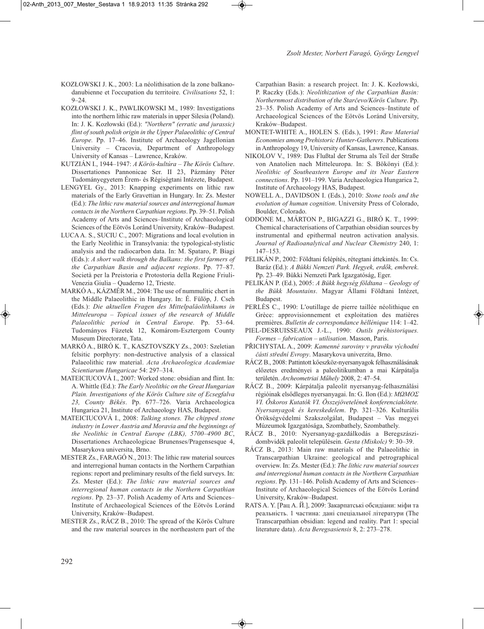- KOZŁOWSKI J. K., 2003: La néolithisation de la zone balkanodanubienne et l'occupation du territoire. *Civilisations* 52, 1:  $9 - 24$ .
- KOZŁOWSKI J. K., PAWLIKOWSKI M., 1989: Investigations into the northern lithic raw materials in upper Silesia (Poland). In: J. K. Kozłowski (Ed.): *"Northern" (erratic and jurassic) flint of south polish origin in the Upper Palaeolithic of Central Europe.* Pp. 17–46. Institute of Archaeology Jagellonian University – Cracovia, Department of Anthropology University of Kansas – Lawrence, Kraków.
- KUTZIÁN I., 1944–1947: *A Körös-kultúra The Körös Culture*. Dissertationes Pannonicae Ser. II 23, Pázmány Péter Tudományegyetem Érem- és Régiségtani Intézete, Budapest.
- LENGYEL Gy., 2013: Knapping experiments on lithic raw materials of the Early Gravettian in Hungary. In: Zs. Mester (Ed.): *The lithic raw material sources and interregional human contacts in the Northern Carpathian regions*. Pp. 39–51. Polish Academy of Arts and Sciences–Institute of Archaeological Sciences of the Eötvös Loránd University, Kraków–Budapest.
- LUCA A. S., SUCIU C., 2007: Migrations and local evolution in the Early Neolithic in Transylvania: the typological-stylistic analysis and the radiocarbon data. In: M. Spataro, P. Biagi (Eds.): *A short walk through the Balkans: the first farmers of the Carpathian Basin and adjacent regions*. Pp. 77–87. Società per la Preistoria e Protostoria della Regione Friuli-Venezia Giulia – Quaderno 12, Trieste.
- MARKÓ A., KÁZMÉR M., 2004: The use of nummulitic chert in the Middle Palaeolithic in Hungary. In: É. Fülöp, J. Cseh (Eds.): *Die aktuellen Fragen des Mittelpaläolithikums in Mitteleuropa – Topical issues of the research of Middle Palaeolithic period in Central Europe.* Pp. 53–64. Tudományos Füzetek 12, Komárom-Esztergom County Museum Directorate, Tata.
- MARKÓ A., BIRÓ K. T., KASZTOVSZKY Zs., 2003: Szeletian felsitic porphyry: non-destructive analysis of a classical Palaeolithic raw material. *Acta Archaeologica Academiae Scientiarum Hungaricae* 54: 297–314.
- MATEICIUCOVÁ I., 2007: Worked stone: obsidian and flint. In: A. Whittle (Ed.): *The Early Neolithic on the Great Hungarian Plain. Investigations of the Körös Culture site of Ecsegfalva 23, County Békés*. Pp. 677–726. Varia Archaeologica Hungarica 21, Institute of Archaeology HAS, Budapest.
- MATEICIUCOVÁ I., 2008: *Talking stones. The chipped stone industry in Lower Austria and Moravia and the beginnings of the Neolithic in Central Europe (LBK), 5700–4900 BC*, Dissertationes Archaeologicae Brunenses/Pragensesque 4, Masarykova universita, Brno.
- MESTER Zs., FARAGÓ N., 2013: The lithic raw material sources and interregional human contacts in the Northern Carpathian regions: report and preliminary results of the field surveys. In: Zs. Mester (Ed.): *The lithic raw material sources and interregional human contacts in the Northern Carpathian regions*. Pp. 23–37. Polish Academy of Arts and Sciences– Institute of Archaeological Sciences of the Eötvös Loránd University, Kraków–Budapest.
- MESTER Zs., RÁCZ B., 2010: The spread of the Körös Culture and the raw material sources in the northeastern part of the

Carpathian Basin: a research project. In: J. K. Kozłowski, P. Raczky (Eds.): *Neolithization of the Carpathian Basin: Northernmost distribution of the Starčevo/Körös Culture*. Pp. 23–35. Polish Academy of Arts and Sciences–Institute of Archaeological Sciences of the Eötvös Loránd University, Kraków–Budapest.

- MONTET-WHITE A., HOLEN S. (Eds.), 1991: *Raw Material Economies among Prehistoric Hunter-Gatherers*. Publications in Anthropology 19, University of Kansas, Lawrence, Kansas.
- NIKOLOV V., 1989: Das Flußtal der Struma als Teil der Straße von Anatolien nach Mitteleuropa. In: S. Bökönyi (Ed.): *Neolithic of Southeastern Europe and its Near Eastern connections*. Pp. 191–199. Varia Archaeologica Hungarica 2, Institute of Archaeology HAS, Budapest.
- NOWELL A., DAVIDSON I. (Eds.), 2010: *Stone tools and the evolution of human cognition*. University Press of Colorado, Boulder, Colorado.
- ODDONE M., MÁRTON P., BIGAZZI G., BIRÓ K. T., 1999: Chemical characterisations of Carpathian obsidian sources by instrumental and epithermal neutron activation analysis. *Journal of Radioanalytical and Nuclear Chemistry* 240, 1: 147–153.
- PELIKÁN P., 2002: Földtani felépítés, rétegtani áttekintés. In: Cs. Baráz (Ed.): *A Bükki Nemzeti Park. Hegyek, erdők, emberek*. Pp. 23–49. Bükki Nemzeti Park Igazgatóság, Eger.
- PELIKÁN P. (Ed.), 2005: *A Bükk hegység földtana Geology of the Bükk Mountains*. Magyar Állami Földtani Intézet, Budapest.
- PERLÈS C., 1990: L'outillage de pierre taillée néolithique en Grèce: approvisionnement et exploitation des matières premières. *Bulletin de correspondance héllénique* 114: 1–42.
- PIEL-DESRUISSEAUX J.-L., 1990: *Outils préhistoriques. Formes – fabrication – utilisation*. Masson, Paris.
- PŘICHYSTAL A., 2009: *Kamenné suroviny v pravěku východní části střední Evropy*. Masarykova univerzita, Brno.
- RÁCZ B., 2008: Pattintott kőeszköz-nyersanyagok felhasználásának előzetes eredményei a paleolitikumban a mai Kárpátalja területén. *Archeometriai Műhely* 2008, 2: 47–54.
- RÁCZ B., 2009: Kárpátalja paleolit nyersanyag-felhasználási régióinak elsődleges nyersanyagai. In: G. Ilon (Ed.): *ΜΩΜΟΣ VI. Őskoros Kutatók VI. Összejövetelének konferenciakötete. Nyersanyagok és kereskedelem*. Pp. 321–326. Kulturális Örökségvédelmi Szakszolgálat, Budapest – Vas megyei Múzeumok Igazgatósága, Szombathely, Szombathely.
- RÁCZ B., 2010: Nyersanyag-gazdálkodás a Beregszászidombvidék paleolit településein. *Gesta (Miskolc)* 9: 30–39.
- RÁCZ B., 2013: Main raw materials of the Palaeolithic in Transcarpathian Ukraine: geological and petrographical overview. In: Zs. Mester (Ed.): *The lithic raw material sources and interregional human contacts in the Northern Carpathian regions*. Pp. 131–146. Polish Academy of Arts and Sciences– Institute of Archaeological Sciences of the Eötvös Loránd University, Kraków–Budapest.
- RATS A. Y. [Рац А. Й.], 2009: Закарпатськi обсидiани: мiфи та реальнiсть. 1 частина: данi спецiальної лiтератури (The Transcarpathian obsidian: legend and reality. Part 1: special literature data). *Acta Beregsasiensis* 8, 2: 273–278.